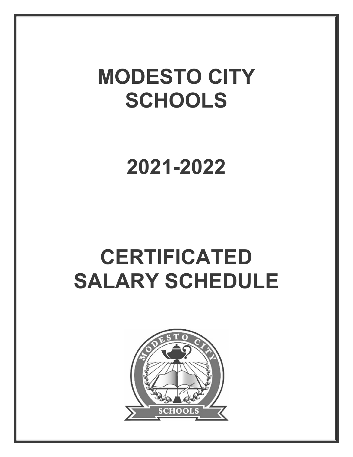# **MODESTO CITY SCHOOLS**

PENDING BOARD APPROVAL

**2021-2022** 

# **CERTIFICATED SALARY SCHEDULE** 2021-2022

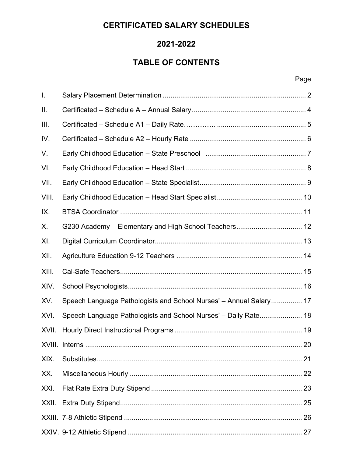## **CERTIFICATED SALARY SCHEDULES**

### **2021-2022**

# **TABLE OF CONTENTS**

#### en de la provincia de la provincia de la provincia de la provincia de la provincia de la provincia de la provi

| $\mathbf{I}$ . |                                                                             |  |
|----------------|-----------------------------------------------------------------------------|--|
| ΙΙ.            |                                                                             |  |
| III.           |                                                                             |  |
| IV.            |                                                                             |  |
| V.             | Early Childhood Education - State Preschool (2002) 2003 2004 2010 2011 2012 |  |
| VI.            |                                                                             |  |
| VII.           |                                                                             |  |
| VIII.          |                                                                             |  |
| IX.            |                                                                             |  |
| Х.             | G230 Academy - Elementary and High School Teachers 12                       |  |
| XI.            |                                                                             |  |
| XII.           |                                                                             |  |
| XIII.          |                                                                             |  |
| XIV.           |                                                                             |  |
| XV.            | Speech Language Pathologists and School Nurses' - Annual Salary 17          |  |
| XVI.           | Speech Language Pathologists and School Nurses' - Daily Rate 18             |  |
| XVII.          |                                                                             |  |
|                |                                                                             |  |
| XIX.           |                                                                             |  |
| XX.            |                                                                             |  |
| XXI.           |                                                                             |  |
|                |                                                                             |  |
|                |                                                                             |  |
|                |                                                                             |  |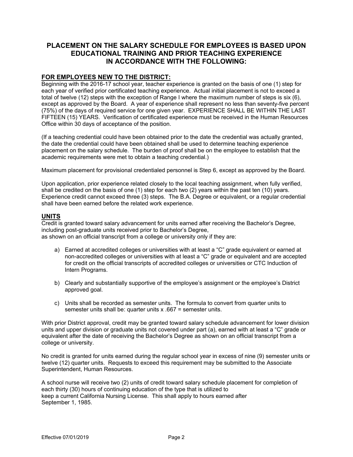#### **PLACEMENT ON THE SALARY SCHEDULE FOR EMPLOYEES IS BASED UPON EDUCATIONAL TRAINING AND PRIOR TEACHING EXPERIENCE IN ACCORDANCE WITH THE FOLLOWING:**

#### **FOR EMPLOYEES NEW TO THE DISTRICT:**

Beginning with the 2016-17 school year, teacher experience is granted on the basis of one (1) step for each year of verified prior certificated teaching experience. Actual initial placement is not to exceed a total of twelve (12) steps with the exception of Range I where the maximum number of steps is six (6), except as approved by the Board. A year of experience shall represent no less than seventy-five percent (75%) of the days of required service for one given year. EXPERIENCE SHALL BE WITHIN THE LAST FIFTEEN (15) YEARS. Verification of certificated experience must be received in the Human Resources Office within 30 days of acceptance of the position.

(If a teaching credential could have been obtained prior to the date the credential was actually granted, the date the credential could have been obtained shall be used to determine teaching experience placement on the salary schedule. The burden of proof shall be on the employee to establish that the academic requirements were met to obtain a teaching credential.)

Maximum placement for provisional credentialed personnel is Step 6, except as approved by the Board.

Upon application, prior experience related closely to the local teaching assignment, when fully verified, shall be credited on the basis of one (1) step for each two (2) years within the past ten (10) years. Experience credit cannot exceed three (3) steps. The B.A. Degree or equivalent, or a regular credential shall have been earned before the related work experience. of the days of required service for one given year. EXPERIENCE SHALL **BE** of the function of certificated experience must be received in the Human Resorting redential could have been obtained prior to the date the function

#### **UNITS**

Credit is granted toward salary advancement for units earned after receiving the Bachelor's Degree, including post-graduate units received prior to Bachelor's Degree, as shown on an official transcript from a college or university only if they are:

- a) Earned at accredited colleges or universities with at least a "C" grade equivalent or earned at non-accredited colleges or universities with at least a "C" grade or equivalent and are accepted for credit on the official transcripts of accredited colleges or universities or CTC Induction of Intern Programs.
- b) Clearly and substantially supportive of the employee's assignment or the employee's District approved goal.
- c) Units shall be recorded as semester units. The formula to convert from quarter units to semester units shall be: quarter units x .667 = semester units.

With prior District approval, credit may be granted toward salary schedule advancement for lower division units and upper division or graduate units not covered under part (a), earned with at least a "C" grade or equivalent after the date of receiving the Bachelor's Degree as shown on an official transcript from a college or university.

No credit is granted for units earned during the regular school year in excess of nine (9) semester units or twelve (12) quarter units. Requests to exceed this requirement may be submitted to the Associate Superintendent, Human Resources.

A school nurse will receive two (2) units of credit toward salary schedule placement for completion of each thirty (30) hours of continuing education of the type that is utilized to keep a current California Nursing License. This shall apply to hours earned after September 1, 1985.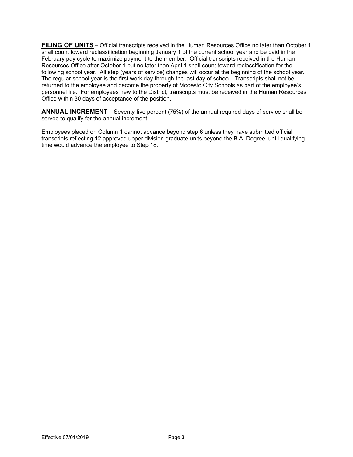**FILING OF UNITS** – Official transcripts received in the Human Resources Office no later than October 1 shall count toward reclassification beginning January 1 of the current school year and be paid in the February pay cycle to maximize payment to the member. Official transcripts received in the Human Resources Office after October 1 but no later than April 1 shall count toward reclassification for the following school year. All step (years of service) changes will occur at the beginning of the school year. The regular school year is the first work day through the last day of school. Transcripts shall not be returned to the employee and become the property of Modesto City Schools as part of the employee's personnel file. For employees new to the District, transcripts must be received in the Human Resources Office within 30 days of acceptance of the position.

**ANNUAL INCREMENT** – Seventy-five percent (75%) of the annual required days of service shall be served to qualify for the annual increment.

Employees placed on Column 1 cannot advance beyond step 6 unless they have submitted official transcripts reflecting 12 approved upper division graduate units beyond the B.A. Degree, until qualifying time would advance the employee to Step 18. **IAL INCREMENT** – Seventy-five percent (75%) of the annual required development.<br>To qualify for the annual increment.<br>Jepse placed on Column 1 cannot advance beyond step 6 unless they have submitted official<br>plus reflectin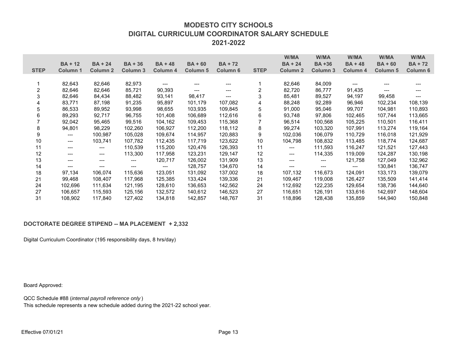#### **MODESTO CITY SCHOOLSDIGITAL CURRICULUM COORDINATOR SALARY SCHEDULE2021-2022**

|                           |                                                                     |                 |           |                |                 |                 |                         | W/MA                                     | W/MA         | W/MA                   | W/MA            | W/MA           |
|---------------------------|---------------------------------------------------------------------|-----------------|-----------|----------------|-----------------|-----------------|-------------------------|------------------------------------------|--------------|------------------------|-----------------|----------------|
|                           | $BA + 12$                                                           | $BA + 24$       | $BA + 36$ | <b>BA + 48</b> | $BA + 60$       | <b>BA+72</b>    |                         | $BA + 24$                                | <b>BA+36</b> | $BA + 48$              | $BA + 60$       | <b>BA + 72</b> |
| <b>STEP</b>               | Column 1                                                            | <b>Column 2</b> | Column 3  | Column 4       | <b>Column 5</b> | <b>Column 6</b> | <b>STEP</b>             | Column <sub>2</sub>                      | Column 3     | Column 4               | <b>Column 5</b> | Column 6       |
|                           |                                                                     |                 |           |                |                 |                 |                         |                                          |              |                        |                 |                |
| 1                         | 82,643                                                              | 82,646          | 82,973    | $---$          |                 |                 | 1                       | 82,646                                   | 84,009       | $\qquad \qquad \cdots$ |                 |                |
| $\overline{\mathbf{c}}$   | 82,646                                                              | 82,646          | 85,721    | 90,393         |                 |                 | $\overline{\mathbf{c}}$ | 82,720                                   | 86,777       | 91,435                 |                 |                |
| $\ensuremath{\mathsf{3}}$ | 82,646                                                              | 84,434          | 88,482    | 93,141         | 98,417          | $---$           | 3 <sub>l</sub>          | 85,481                                   | 89,527       | 94,197                 | 99,458          |                |
| 4                         | 83,771                                                              | 87,198          | 91,235    | 95,897         | 101,179         | 107,082         |                         | 88,248                                   | 92,289       | 96,946                 | 102,234         | 108,139        |
| 5                         | 86,533                                                              | 89,952          | 93,998    | 98,655         | 103,935         | 109,845         | 5                       | 91,000                                   | 95,046       | 99,707                 | 104,981         | 110,893        |
| 6                         | 89,293                                                              | 92,717          | 96,755    | 101,408        | 106,689         | 112,616         | $\,6$                   | 93,748                                   | 97,806       | 102,465                | 107,744         | 113,665        |
| $\overline{7}$            | 92,042                                                              | 95,465          | 99,516    | 104,162        | 109,453         | 115,368         | $\overline{7}$          | 96,514                                   | 100,568      | 105,225                | 110,501         | 116,411        |
| 8                         | 94,801                                                              | 98,229          | 102,260   | 106,927        | 112,200         | 118,112         | 8                       | 99,274                                   | 103,320      | 107,991                | 113,274         | 119,164        |
| 9                         | ---                                                                 | 100,987         | 105,028   | 109,674        | 114,957         | 120,883         | 9                       | 102,036                                  | 106,079      | 110,729                | 116,018         | 121,929        |
| 10                        |                                                                     | 103,741         | 107,782   | 112,435        | 117,719         | 123,622         | 10                      | 104,798                                  | 108,832      | 113,485                | 118,774         | 124,687        |
| 11                        |                                                                     |                 | 110,539   | 115,200        | 120,476         | 126,393         | 11                      | ---                                      | 111,593      | 116,247                | 121,521         | 127,443        |
| 12                        | ---                                                                 | ---             | 113,300   | 117,958        | 123,231         | 129,147         | 12                      | $---$                                    | 114,335      | 119,009                | 124,287         | 130,198        |
| 13                        | ---                                                                 | ---             | ---       | 120,717        | 126,002         | 131,909         | 13                      | $\qquad \qquad \qquad \qquad \text{---}$ | ---          | 121,758                | 127,049         | 132,962        |
| 14                        | ---                                                                 |                 |           | $---$          | 128,757         | 134,670         | 14                      |                                          | $---$        | ---                    | 130,841         | 136,747        |
| 18                        | 97,134                                                              | 106,074         | 115,636   | 123,051        | 131,092         | 137,002         | 18 <sub>1</sub>         | 107,132                                  | 116,673      | 124,091                | 133,173         | 139,079        |
| 21                        | 99,468                                                              | 108,407         | 117,968   | 125,385        | 133,424         | 139,336         | 21                      | 109,467                                  | 119,008      | 126,427                | 135,509         | 141,414        |
| 24                        | 102,696                                                             | 111,634         | 121,195   | 128,610        | 136,653         | 142,562         | 24                      | 112,692                                  | 122,235      | 129,654                | 138,736         | 144,640        |
| 27                        | 106,657                                                             | 115,593         | 125,156   | 132,572        | 140,612         | 146,523         | 27                      | 116,651                                  | 126,191      | 133,616                | 142,697         | 148,604        |
| 31                        | 108,902                                                             | 117,840         | 127,402   | 134,818        | 142,857         | 148,767         | 31                      | 118,896                                  | 128,438      | 135,859                | 144,940         | 150,848        |
|                           |                                                                     |                 |           |                |                 |                 |                         |                                          |              |                        |                 |                |
|                           |                                                                     |                 |           |                |                 |                 |                         |                                          |              |                        |                 |                |
|                           |                                                                     |                 |           |                |                 |                 |                         |                                          |              |                        |                 |                |
|                           | DOCTORATE DEGREE STIPEND -- MA PLACEMENT + 2,332                    |                 |           |                |                 |                 |                         |                                          |              |                        |                 |                |
|                           |                                                                     |                 |           |                |                 |                 |                         |                                          |              |                        |                 |                |
|                           | Digital Curriculum Coordinator (195 responsibility days, 8 hrs/day) |                 |           |                |                 |                 |                         |                                          |              |                        |                 |                |
|                           |                                                                     |                 |           |                |                 |                 |                         |                                          |              |                        |                 |                |
|                           |                                                                     |                 |           |                |                 |                 |                         |                                          |              |                        |                 |                |
|                           |                                                                     |                 |           |                |                 |                 |                         |                                          |              |                        |                 |                |
|                           |                                                                     |                 |           |                |                 |                 |                         |                                          |              |                        |                 |                |
|                           |                                                                     |                 |           |                |                 |                 |                         |                                          |              |                        |                 |                |
|                           |                                                                     |                 |           |                |                 |                 |                         |                                          |              |                        |                 |                |
| Board Approved:           |                                                                     |                 |           |                |                 |                 |                         |                                          |              |                        |                 |                |
|                           |                                                                     |                 |           |                |                 |                 |                         |                                          |              |                        |                 |                |

#### **DOCTORATE DEGREE STIPEND -- MA PLACEMENT + 2,332**

#### Board Approved:

QCC Schedule #88 (*internal payroll reference only* ) This schedule represents a new schedule added during the 2021-22 school year.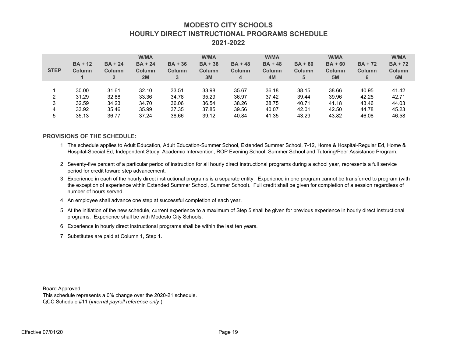#### **MODESTO CITY SCHOOLSHOURLY DIRECT INSTRUCTIONAL PROGRAMS SCHEDULE2021-2022**

| <b>STEP</b>                                 | $BA + 12$<br>Column<br>$\mathbf 1$        | $BA + 24$<br>Column<br>$\overline{2}$     | W/MA<br>$BA + 24$<br>Column<br>2M                        | $BA + 36$<br>Column<br>3                  | W/MA<br>$BA + 36$<br>Column<br>3M                                                      | $BA + 48$<br>Column<br>$\overline{4}$     | W/MA<br>$BA + 48$<br>Column<br>4M                                                                                                                                                                                                                                                                        | $BA + 60$<br>Column<br>5                  | <b>W/MA</b><br>$BA + 60$<br>Column<br>5M   | $BA + 72$<br>Column<br>6                  | W/MA<br>$BA + 72$<br>Column<br>6M         |
|---------------------------------------------|-------------------------------------------|-------------------------------------------|----------------------------------------------------------|-------------------------------------------|----------------------------------------------------------------------------------------|-------------------------------------------|----------------------------------------------------------------------------------------------------------------------------------------------------------------------------------------------------------------------------------------------------------------------------------------------------------|-------------------------------------------|--------------------------------------------|-------------------------------------------|-------------------------------------------|
| 1<br>$\overline{\mathbf{c}}$<br>3<br>4<br>5 | 30.00<br>31.29<br>32.59<br>33.92<br>35.13 | 31.61<br>32.88<br>34.23<br>35.46<br>36.77 | 32.10<br>33.36<br>34.70<br>35.99<br>37.24                | 33.51<br>34.78<br>36.06<br>37.35<br>38.66 | 33.98<br>35.29<br>36.54<br>37.85<br>39.12                                              | 35.67<br>36.97<br>38.26<br>39.56<br>40.84 | 36.18<br>37.42<br>38.75<br>40.07<br>41.35                                                                                                                                                                                                                                                                | 38.15<br>39.44<br>40.71<br>42.01<br>43.29 | 38.66<br>39.96<br>41.18<br>142.50<br>43.82 | 40.95<br>42.25<br>43.46<br>44.78<br>46.08 | 41.42<br>42.71<br>44.03<br>45.23<br>46.58 |
|                                             |                                           | <b>PROVISIONS OF THE SCHEDULE:</b>        |                                                          |                                           |                                                                                        |                                           |                                                                                                                                                                                                                                                                                                          |                                           |                                            |                                           |                                           |
|                                             |                                           |                                           |                                                          |                                           |                                                                                        |                                           | 1 The schedule applies to Adult Education, Adult Education-Summer School, Extended Summer School, 7-12, Home & Hospital-Regular Ed, Home &<br>Hospital-Special Ed, Independent Study, Academic Intervention, ROP Evening School, Summer School and Tutoring/Peer Assistance Program.                     |                                           |                                            |                                           |                                           |
|                                             |                                           |                                           | period for credit toward step advancement.               |                                           |                                                                                        |                                           | 2 Seventy-five percent of a particular period of instruction for all hourly direct instructional programs during a school year, represents a full service                                                                                                                                                |                                           |                                            |                                           |                                           |
|                                             | number of hours served.                   |                                           |                                                          |                                           |                                                                                        |                                           | Experience in each of the hourly direct instructional programs is a separate entity. Experience in one program cannot be transferred to program (with<br>the exception of experience within Extended Summer School, Summer School). Full credit shall be given for completion of a session regardless of |                                           |                                            |                                           |                                           |
| 4                                           |                                           |                                           |                                                          |                                           | An employee shall advance one step at successful completion of each year.              |                                           |                                                                                                                                                                                                                                                                                                          |                                           |                                            |                                           |                                           |
| 5                                           |                                           |                                           | programs. Experience shall be with Modesto City Schools. |                                           |                                                                                        |                                           | At the initiation of the new schedule, current experience to a maximum of Step 5 shall be given for previous experience in hourly direct instructional                                                                                                                                                   |                                           |                                            |                                           |                                           |
| 6                                           |                                           |                                           |                                                          |                                           | Experience in hourly direct instructional programs shall be within the last ten years. |                                           |                                                                                                                                                                                                                                                                                                          |                                           |                                            |                                           |                                           |
| 7                                           |                                           |                                           | Substitutes are paid at Column 1, Step 1.                |                                           |                                                                                        |                                           |                                                                                                                                                                                                                                                                                                          |                                           |                                            |                                           |                                           |
| Board Approved:                             |                                           |                                           |                                                          |                                           |                                                                                        |                                           |                                                                                                                                                                                                                                                                                                          |                                           |                                            |                                           |                                           |

#### **PROVISIONS OF THE SCHEDULE:**

- 1 The schedule applies to Adult Education, Adult Education-Summer School, Extended Summer School, 7-12, Home & Hospital-Regular Ed, Home & Hospital-Special Ed, Independent Study, Academic Intervention, ROP Evening School, Summer School and Tutoring/Peer Assistance Program.
- 2 Seventy-five percent of a particular period of instruction for all hourly direct instructional programs during a school year, represents a full service period for credit toward step advancement.
- 3 Experience in each of the hourly direct instructional programs is a separate entity. Experience in one program cannot be transferred to program (with the exception of experience within Extended Summer School, Summer School). Full credit shall be given for completion of a session regardless of number of hours served.
- 4 An employee shall advance one step at successful completion of each year.
- 5 At the initiation of the new schedule, current experience to a maximum of Step 5 shall be given for previous experience in hourly direct instructional programs. Experience shall be with Modesto City Schools.
- 6 Experience in hourly direct instructional programs shall be within the last ten years.
- 7 Substitutes are paid at Column 1, Step 1.

Board Approved:

This schedule represents a 0% change over the 2020-21 schedule. QCC Schedule #11 (*internal payroll reference only* )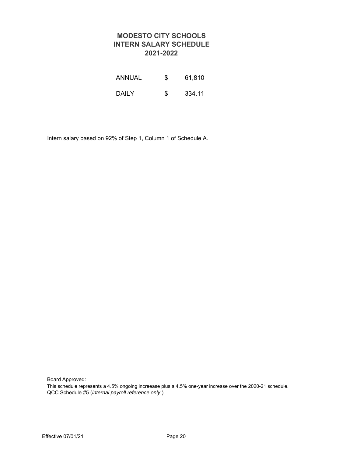#### **MODESTO CITY SCHOOLS INTERN SALARY SCHEDULE 2021-2022**

| <b>ANNUAL</b> | \$<br>61,810 |
|---------------|--------------|
| DAILY         | \$<br>334.11 |

Intern salary based on 92% of Step 1, Column 1 of Schedule A. n salary based on 92% of Step 1, Column 1 of Schedule A.

Board Approved:

This schedule represents a 4.5% ongoing increase plus a 4.5% one-year increase over the 2020-21 schedule. QCC Schedule #5 (*internal payroll reference only* )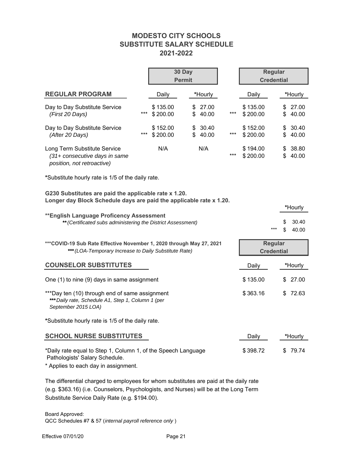#### **MODESTO CITY SCHOOLS SUBSTITUTE SALARY SCHEDULE 2021-2022**

|                                                                                                                                         |     | 30 Day<br><b>Permit</b> |          |                |     | <b>Regular</b><br><b>Credential</b> |     |          |                |
|-----------------------------------------------------------------------------------------------------------------------------------------|-----|-------------------------|----------|----------------|-----|-------------------------------------|-----|----------|----------------|
| <b>REGULAR PROGRAM</b>                                                                                                                  |     | Daily                   |          | *Hourly        |     | Daily                               |     |          | *Hourly        |
| Day to Day Substitute Service<br>(First 20 Days)                                                                                        | *** | \$135.00<br>\$200.00    | \$       | 27.00<br>40.00 | *** | \$135.00<br>\$200.00                |     | \$<br>\$ | 27.00<br>40.00 |
| Day to Day Substitute Service<br>(After 20 Days)                                                                                        | *** | \$152.00<br>\$200.00    | \$<br>\$ | 30.40<br>40.00 |     | \$152.00<br>\$200.00                |     | \$<br>\$ | 30.40<br>40.00 |
| Long Term Substitute Service<br>(31+ consecutive days in same<br>position, not retroactive)                                             |     | N/A                     |          | N/A            |     | \$194.00<br>\$200.00                |     | \$<br>\$ | 38.80<br>40.00 |
| *Substitute hourly rate is 1/5 of the daily rate.                                                                                       |     |                         |          |                |     |                                     |     |          |                |
| G230 Substitutes are paid the applicable rate x 1.20.<br>Longer day Block Schedule days are paid the applicable rate x 1.20.<br>*Hourly |     |                         |          |                |     |                                     |     |          |                |
| **English Language Proficency Assessment<br>** (Certificated subs administering the District Assessment)                                |     |                         |          |                |     |                                     |     | \$       | 30.40          |
|                                                                                                                                         |     |                         |          |                |     |                                     | *** | \$       | 40.00          |
| *** COVID-19 Sub Rate Effective November 1, 2020 through May 27, 2021<br>*** (LOA-Temporary Increase to Daily Substitute Rate)          |     |                         |          |                |     | <b>Regular</b><br><b>Credential</b> |     |          |                |
| <b>COUNSELOR SUBSTITUTES</b>                                                                                                            |     |                         |          |                |     | Daily<br>*Hourly                    |     |          |                |
| One (1) to nine (9) days in same assignment                                                                                             |     |                         |          |                |     | \$135.00                            |     | \$       | 27.00          |
| ***Day ten (10) through end of same assignment<br>*** Daily rate, Schedule A1, Step 1, Column 1 (per<br>September 2015 LOA)             |     |                         |          |                |     | \$363.16                            |     | \$       | 72.63          |
| *Substitute hourly rate is 1/5 of the daily rate.                                                                                       |     |                         |          |                |     |                                     |     |          |                |
| <b>SCHOOL NURSE SUBSTITUTES</b>                                                                                                         |     |                         |          |                |     | Daily                               |     |          | *Hourly        |
| *Daily rate equal to Step 1, Column 1, of the Speech Language<br>Pathologists' Salary Schedule.<br>* Applies to each day in assignment. |     |                         |          |                |     | \$398.72                            |     | \$       | 79.74          |

The differential charged to employees for whom substitutes are paid at the daily rate (e.g. \$363.16) (i.e. Counselors, Psychologists, and Nurses) will be at the Long Term Substitute Service Daily Rate (e.g. \$194.00).

Board Approved: QCC Schedules #7 & 57 (*internal payroll reference only* )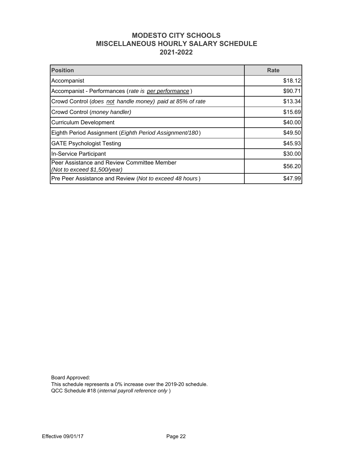#### **MODESTO CITY SCHOOLS MISCELLANEOUS HOURLY SALARY SCHEDULE 2021-2022**

| <b>Position</b>                                                             | <b>Rate</b> |
|-----------------------------------------------------------------------------|-------------|
| Accompanist                                                                 | \$18.12     |
| Accompanist - Performances (rate is per performance)                        | \$90.71     |
| Crowd Control (does not handle money) paid at 85% of rate                   | \$13.34     |
| Crowd Control (money handler)                                               | \$15.69     |
| <b>Curriculum Development</b>                                               | \$40.00     |
| Eighth Period Assignment (Eighth Period Assignment/180)                     | \$49.50     |
| <b>GATE Psychologist Testing</b>                                            | \$45.93     |
| In-Service Participant                                                      | \$30.00     |
| Peer Assistance and Review Committee Member<br>(Not to exceed \$1,500/year) | \$56.20     |
| Pre Peer Assistance and Review (Not to exceed 48 hours)                     | \$47.99     |
|                                                                             |             |

Board Approved: This schedule represents a 0% increase over the 2019-20 schedule. QCC Schedule #18 (*internal payroll reference only* )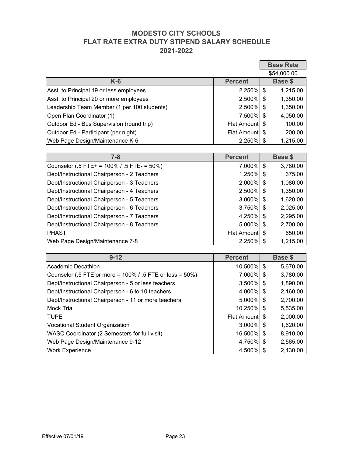#### **MODESTO CITY SCHOOLS FLAT RATE EXTRA DUTY STIPEND SALARY SCHEDULE 2021-2022**

|                                                                  |                    |                           | <b>Base Rate</b> |
|------------------------------------------------------------------|--------------------|---------------------------|------------------|
|                                                                  |                    |                           | \$54,000.00      |
| $K-6$                                                            | <b>Percent</b>     |                           | <b>Base \$</b>   |
| Asst. to Principal 19 or less employees                          | 2.250%             | \$                        | 1,215.00         |
| Asst. to Principal 20 or more employees                          | 2.500%             | $\boldsymbol{\mathsf{S}}$ | 1,350.00         |
| Leadership Team Member (1 per 100 students)                      | 2.500%             | \$                        | 1,350.00         |
| Open Plan Coordinator (1)                                        | 7,500%             | \$                        | 4,050.00         |
| Outdoor Ed - Bus Supervision (round trip)                        | <b>Flat Amount</b> | \$                        | 100.00           |
| Outdoor Ed - Participant (per night)                             | <b>Flat Amount</b> | \$                        | 200.00           |
| Web Page Design/Maintenance K-6                                  | 2.250%             | \$                        | 1,215.00         |
|                                                                  |                    |                           |                  |
| $7 - 8$                                                          | <b>Percent</b>     |                           | <b>Base \$</b>   |
| Counselor (.5 FTE+ = 100% / .5 FTE- = 50%)                       | 7.000%             | \$                        | 3,780.00         |
| Dept/Instructional Chairperson - 2 Teachers                      | 1.250%             | \$                        | 675.00           |
| Dept/Instructional Chairperson - 3 Teachers                      | 2.000%             | \$                        | 1,080.00         |
| Dept/Instructional Chairperson - 4 Teachers                      | 2.500%             | \$                        | 1,350.00         |
| Dept/Instructional Chairperson - 5 Teachers                      | 3.000%             | \$                        | 1,620.00         |
| Dept/Instructional Chairperson - 6 Teachers                      | 3.750%             | \$                        | 2,025.00         |
| Dept/Instructional Chairperson - 7 Teachers                      | 4.250%             | \$                        | 2,295.00         |
| Dept/Instructional Chairperson - 8 Teachers                      | 5.000%             | \$                        | 2,700.00         |
| <b>PHAST</b>                                                     | <b>Flat Amount</b> | \$                        | 650.00           |
| Web Page Design/Maintenance 7-8                                  | 2.250%             | \$                        | 1,215.00         |
|                                                                  |                    |                           |                  |
| $9 - 12$                                                         | <b>Percent</b>     |                           | <b>Base \$</b>   |
| Academic Decathlon                                               | 10.500%            | \$                        | 5,670.00         |
| Counselor (.5 FTE or more $\approx$ 100% / .5 FTE or less = 50%) | 7.000%             | \$                        | 3,780.00         |
| Dept/Instructional Chairperson - 5 or less teachers              | 3.500%             | \$                        | 1,890.00         |
| Dept/Instructional Chairperson - 6 to 10 teachers                | 4.000%             | \$                        | 2,160.00         |
| Dept/Instructional Chairperson - 11 or more teachers             | 5.000%             | \$                        | 2,700.00         |
| <b>Mock Trial</b>                                                | 10.250%            | \$                        | 5,535.00         |
| <b>TUPE</b>                                                      | <b>Flat Amount</b> | \$                        | 2,000.00         |
| <b>Vocational Student Organization</b>                           | 3.000%             | \$                        | 1,620.00         |
| WASC Coordinator (2 Semesters for full visit)                    | 16.500%            | \$                        | 8,910.00         |
| Web Page Design/Maintenance 9-12                                 | 4.750%             | \$                        | 2,565.00         |
| <b>Work Experience</b>                                           | 4.500%             | \$                        | 2,430.00         |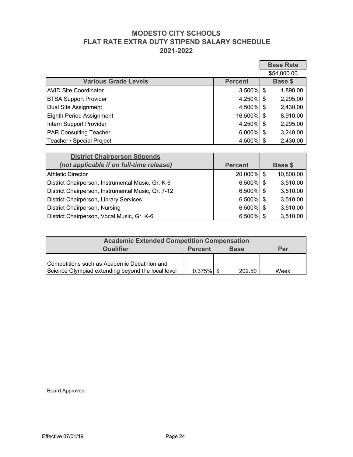#### **MODESTO CITY SCHOOLS FLAT RATE EXTRA DUTY STIPEND SALARY SCHEDULE 2021-2022**

|                                                                   |                | <b>Base Rate</b>                      |
|-------------------------------------------------------------------|----------------|---------------------------------------|
|                                                                   |                | \$54,000.00                           |
| <b>Various Grade Levels</b>                                       | <b>Percent</b> | Base \$                               |
| <b>AVID Site Coordinator</b>                                      | 3.500%         | $\mathfrak{S}$<br>1,890.00            |
| <b>BTSA Support Provider</b>                                      | 4.250%         | 2,295.00<br>\$                        |
| Dual Site Assignment                                              | 4.500%         | 2,430.00<br>\$                        |
| <b>Eighth Period Assignment</b>                                   | 16,500%        | 8,910.00<br>\$                        |
| Intern Support Provider                                           | 4.250%         | 2,295.00<br>\$                        |
| PAR Consulting Teacher                                            | 6.000%         | 3,240.00<br>\$                        |
| Teacher / Special Project                                         | 4.500%         | $\boldsymbol{\mathsf{S}}$<br>2,430.00 |
|                                                                   |                |                                       |
| <b>District Chairperson Stipends</b>                              |                |                                       |
| (not applicable if on full-time release)                          | <b>Percent</b> | <b>Base \$</b>                        |
| <b>Athletic Director</b>                                          | 20.000%        | $\sqrt[6]{\frac{1}{2}}$<br>10,800.00  |
| District Chairperson, Instrumental Music, Gr. K-6                 | 6.500%         | $\mathfrak{F}$<br>3,510.00            |
| District Chairperson, Instrumental Music, Gr. 7-12                | 6.500%         | 3,510.00<br>\$                        |
| District Chairperson, Library Services                            | 6.500%         | 3,510.00<br>\$                        |
| <b>District Chairperson, Nursing</b>                              | 6.500%         | 3,510.00<br>\$                        |
| District Chairperson, Vocal Music, Gr. K-6                        | 6.500%         | 3,510.00<br>\$                        |
|                                                                   |                |                                       |
| <b>Academic Extended Competition Compensation</b>                 |                |                                       |
| Qualifier<br><b>Percent</b>                                       | <b>Base</b>    | Per                                   |
| Competitions such as Academic Decathlon and                       |                |                                       |
| Science Olympiad extending beyond the local level<br>$0.375\%$ \$ | 202.50         | Week                                  |
|                                                                   |                |                                       |

| <b>Académic Extended Competition Compensation</b> |              |             |      |
|---------------------------------------------------|--------------|-------------|------|
| Qualifier                                         | Percent      | <b>Base</b> | Per  |
| Competitions such as Academic Decathlon and       |              |             |      |
| Science Olympiad extending beyond the local level | $0.375\%$ \$ | 202.50      | Week |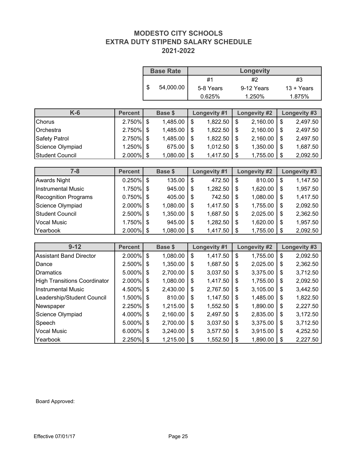#### **MODESTO CITY SCHOOLS EXTRA DUTY STIPEND SALARY SCHEDULE 2021-2022**

|                                     |                |                           | <b>Base Rate</b> | <b>Longevity</b> |                  |                |                     |    |                     |
|-------------------------------------|----------------|---------------------------|------------------|------------------|------------------|----------------|---------------------|----|---------------------|
|                                     |                |                           |                  |                  | #1               |                | #2                  |    | #3                  |
|                                     |                | \$                        | 54,000.00        |                  | 5-8 Years        |                | 9-12 Years          |    | 13 + Years          |
|                                     |                |                           |                  |                  | 0.625%           |                | 1.250%              |    | 1.875%              |
|                                     |                |                           |                  |                  |                  |                |                     |    |                     |
| $K-6$                               | <b>Percent</b> |                           | <b>Base \$</b>   |                  | Longevity #1     |                | <b>Longevity #2</b> |    | <b>Longevity #3</b> |
| Chorus                              | 2.750%         | $\boldsymbol{\mathsf{S}}$ | 1,485.00         | \$               | 1,822.50         | $\mathsf{S}$   | 2,160.00            | \$ | 2,497.50            |
| Orchestra                           | 2.750%         | \$                        | 1,485.00         | \$               | 1,822.50         | $\mathcal{S}$  | 2,160.00            | \$ | 2,497.50            |
| Safety Patrol                       | 2.750%         | \$                        | 1,485.00         | \$               | 1,822.50         | ์\$            | 2,160.00            | \$ | 2,497.50            |
| Science Olympiad                    | 1.250%         | \$                        | 675.00           | \$               | 1,012.50         | \$             | 1,350.00            | \$ | 1,687.50            |
| <b>Student Council</b>              | 2.000%         | $\frac{1}{2}$             | 1,080.00         | \$               | 1,417.50         | \$             | 1,755.00            | \$ | 2,092.50            |
|                                     |                |                           |                  |                  |                  |                |                     |    |                     |
| $7 - 8$                             | <b>Percent</b> |                           | Base \$          |                  | Longevity #1     |                | <b>Longevity #2</b> |    | Longevity #3        |
| <b>Awards Night</b>                 | 0.250%         | $\boldsymbol{\mathsf{S}}$ | 135.00           | $\mathsf{\$}$    | 472.50           | $\mathfrak{s}$ | 810.00              | \$ | 1,147.50            |
| <b>Instrumental Music</b>           | 1.750%         | $\boldsymbol{\mathsf{S}}$ | 945.00           | \$               | 1,282.50         | \$             | 1,620.00            | \$ | 1,957.50            |
| <b>Recognition Programs</b>         | 0.750%         | \$                        | 405.00           | \$               | 742.50           | \$             | 1,080.00            | \$ | 1,417.50            |
| Science Olympiad                    | 2.000%         | $\boldsymbol{\mathsf{S}}$ | 1,080.00         | \$               | 1,417.50         | \$             | 1,755.00            | \$ | 2,092.50            |
| <b>Student Council</b>              | 2.500%         | \$                        | 1,350.00         | $\frac{1}{2}$    | 1,687.50         | \$             | 2,025.00            | \$ | 2,362.50            |
| <b>Vocal Music</b>                  | 1.750%         | \$                        | 945.00           | \$               | 1,282.50         | \$             | 1,620.00            | \$ | 1,957.50            |
| Yearbook                            | $2.000\%$ \$   |                           | 1,080.00         | \$               | $1,4\bar{1}7.50$ | \$             | 1,755.00            | \$ | 2,092.50            |
|                                     |                |                           |                  |                  |                  |                |                     |    |                     |
| $9 - 12$                            | <b>Percent</b> |                           | <b>Base \$</b>   |                  | Longevity #1     |                | Longevity #2        |    | Longevity #3        |
| <b>Assistant Band Director</b>      | 2.000%         | $\sqrt{2}$                | 1,080.00         | $\$\$            | 1,417.50         | \$             | 1,755.00            | \$ | 2,092.50            |
| Dance                               | $2.500\%$ \$   |                           | 1,350.00         | \$               | 1,687.50         | \$             | 2,025.00            | \$ | 2,362.50            |
| <b>Dramatics</b>                    | 5.000%         | $\boldsymbol{\mathsf{S}}$ | 2,700.00         | \$               | 3,037.50         | \$             | 3,375.00            | \$ | 3,712.50            |
| <b>High Transitions Coordinator</b> | 2.000%         | \$                        | 1,080.00         | \$               | 1,417.50         | \$             | 1,755.00            | \$ | 2,092.50            |
| <b>Instrumental Music</b>           | 4.500%         | $\sqrt{3}$                | 2,430.00         | \$               | 2,767.50         | \$             | 3,105.00            | \$ | 3,442.50            |
| Leadership/Student Council          | .500%          | $\sqrt{3}$                | 810.00           | \$               | 1,147.50         | \$             | 1,485.00            | \$ | 1,822.50            |
| Newspaper                           | 2.250%         | \$                        | 1,215.00         | \$               | 1,552.50         | \$             | 1,890.00            | \$ | 2,227.50            |
| Science Olympiad                    | 4.000%         | \$                        | 2,160.00         | \$               | 2,497.50         | \$             | 2,835.00            | \$ | 3,172.50            |
| Speech                              | 5.000%         | \$                        | 2,700.00         | \$               | 3,037.50         | \$             | 3,375.00            | \$ | 3,712.50            |
| <b>Vocal Music</b>                  | 6.000%         | \$                        | 3,240.00         | \$               | 3,577.50         | \$             | 3,915.00            | \$ | 4,252.50            |
| Yearbook                            | 2.250%         | $\boldsymbol{\theta}$     | 1,215.00         | \$               | 1,552.50         | \$             | 1,890.00            | \$ | 2,227.50            |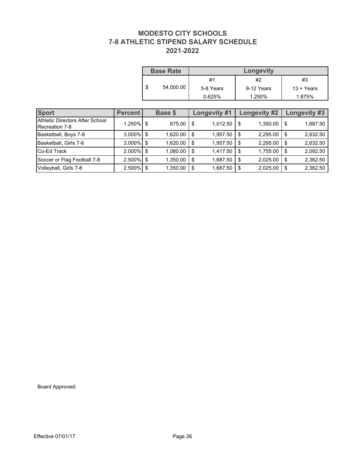#### **MODESTO CITY SCHOOLS 7-8 ATHLETIC STIPEND SALARY SCHEDULE 2021-2022**

|    | <b>Base Rate</b> | <b>Longevity</b> |            |              |  |  |  |  |  |
|----|------------------|------------------|------------|--------------|--|--|--|--|--|
|    |                  | #1               | #2         | #3           |  |  |  |  |  |
| ۰D | 54,000.00        | 5-8 Years        | 9-12 Years | $13 + Years$ |  |  |  |  |  |
|    |                  | 0.625%           | 1.250%     | 1.875%       |  |  |  |  |  |

| <b>Sport</b>                                      | <b>Percent</b> |                           | Base \$  |               | <b>Longevity #1</b> |                | Longevity #2 |      | Longevity #3 |
|---------------------------------------------------|----------------|---------------------------|----------|---------------|---------------------|----------------|--------------|------|--------------|
| Athletic Directors After School<br>Recreation 7-8 | 1.250%         | \$                        | 675.00   | \$            | $1,012.50$ \$       |                | 1,350.00     | \$   | 1,687.50     |
| Basketball, Boys 7-8                              | 3.000%         | \$                        | 1,620.00 | \$            | 1,957.50            | $\mathfrak{F}$ | 2,295.00     | \$   | 2,632.50     |
| Basketball, Girls 7-8                             | 3.000%         | $\sqrt[6]{\frac{1}{2}}$   | 1,620.00 | \$            | 1,957.50            | $\,$           | 2,295.00     | \$   | 2,632.50     |
| Co-Ed Track                                       | 2.000%         | $\boldsymbol{\mathsf{S}}$ | 1,080.00 | \$            | 1,417.50            | \$             | 1,755.00     | \$   | 2,092.50     |
| Soccer or Flag Football 7-8                       | 2.500%         | $\boldsymbol{\mathsf{S}}$ | 1,350.00 | \$            | 1,687.50            | \$             | 2,025.00     | \$   | 2,362.50     |
| Volleyball, Girls 7-8                             | 2.500%         | \$                        | 1,350.00 | $\frac{1}{2}$ | 1,687.50            | $\,$           | 2,025.00     | $\,$ | 2,362.50     |
|                                                   |                |                           |          |               |                     |                |              |      |              |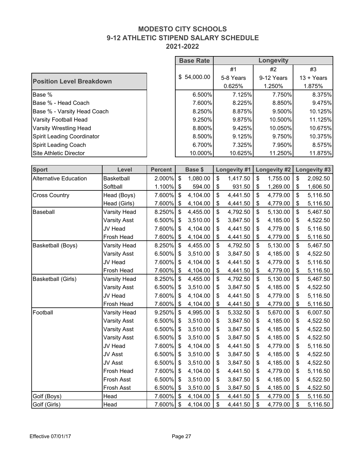#### **MODESTO CITY SCHOOLS 9-12 ATHLETIC STIPEND SALARY SCHEDULE 2021-2022**

 $\overline{\phantom{a}}$ 

|                                   |                     |                | <b>Base Rate</b>          |                | Longevity                 |              |    |                     |    |              |
|-----------------------------------|---------------------|----------------|---------------------------|----------------|---------------------------|--------------|----|---------------------|----|--------------|
|                                   |                     |                |                           |                |                           | #1           |    | #2                  |    | #3           |
| <b>Position Level Breakdown</b>   |                     |                |                           | \$54,000.00    |                           | 5-8 Years    |    | 9-12 Years          |    | 13 + Years   |
|                                   |                     |                |                           |                |                           | 0.625%       |    | 1.250%              |    | 1.875%       |
| Base %                            |                     |                |                           | 6.500%         |                           | 7.125%       |    | 7.750%              |    | 8.375%       |
| Base % - Head Coach               |                     |                |                           | 7.600%         |                           | 8.225%       |    | 8.850%              |    | 9.475%       |
| Base % - Varsity Head Coach       |                     |                |                           | 8.250%         |                           | 8.875%       |    | 9.500%              |    | 10.125%      |
| <b>Varsity Football Head</b>      |                     |                |                           | 9.250%         |                           | 9.875%       |    | 10.500%             |    | 11.125%      |
| <b>Varsity Wrestling Head</b>     |                     |                |                           | 8.800%         |                           | 9.425%       |    | 10.050%             |    | 10.675%      |
| <b>Spirit Leading Coordinator</b> |                     |                |                           | 8.500%         |                           | 9.125%       |    | 9.750%              |    | 10.375%      |
| <b>Spirit Leading Coach</b>       |                     |                |                           | 6.700%         |                           | 7.325%       |    | 7.950%              |    | 8.575%       |
| Site Athletic Director            |                     |                |                           | 10.000%        |                           | 10.625%      |    | 11.250%             |    | 11.875%      |
|                                   |                     |                |                           |                |                           |              |    |                     |    |              |
| <b>Sport</b>                      | Level               | <b>Percent</b> |                           | <b>Base \$</b> |                           | Longevity #1 |    | <b>Longevity #2</b> |    | Longevity #3 |
| <b>Alternative Education</b>      | <b>Basketball</b>   | $2.000\%$ \$   |                           | 1,080.00       | $\mathbf{\$}$             | 1,417.50     | \$ | 1,755.00            | \$ | 2,092.50     |
|                                   | Softball            | $1.100\%$ \$   |                           | 594.00         | $\mathbb{S}$              | 931.50       | \$ | 1,269.00            | \$ | 1,606.50     |
| <b>Cross Country</b>              | Head (Boys)         | 7.600%         | $\boldsymbol{\mathsf{S}}$ | 4,104.00       | $\frac{1}{2}$             | 4,441.50     | \$ | 4,779.00            | \$ | 5,116.50     |
|                                   | Head (Girls)        | 7.600%         | -\$                       | 4,104.00       | $\boldsymbol{\theta}$     | 4,441.50     | \$ | 4,779.00            | \$ | 5,116.50     |
| Baseball                          | Varsity Head        | 8.250%         | $\mathcal{L}$             | 4,455.00       | $\boldsymbol{\mathsf{S}}$ | 4,792.50     | \$ | 5,130.00            | \$ | 5,467.50     |
|                                   | <b>Varsity Asst</b> | $6.500\%$ \$   |                           | 3,510.00       | \$                        | 3,847.50     | \$ | 4,185.00            | \$ | 4,522.50     |
|                                   | JV Head             | 7.600% \$      |                           | 4,104.00       | $\sqrt{2}$                | 4,441.50     | \$ | 4,779.00            | \$ | 5,116.50     |
|                                   | Frosh Head          | 7.600%         | $\mathcal{F}$             | 4,104.00       | \$                        | 4,441.50     | \$ | 4,779.00            | \$ | 5,116.50     |
| Basketball (Boys)                 | <b>Varsity Head</b> | $8.250\%$ \$   |                           | 4,455.00       | \$                        | 4,792.50     | \$ | 5,130.00            | \$ | 5,467.50     |
|                                   | <b>Varsity Asst</b> | 6.500%         | S.                        | 3,510.00       | \$                        | 3,847.50     | \$ | 4,185.00            | \$ | 4,522.50     |
|                                   | <b>JV Head</b>      | 7.600% \$      |                           | 4,104.00       | \$                        | 4,441.50     | \$ | 4,779.00            | \$ | 5,116.50     |
|                                   | <b>Frosh Head</b>   | 7.600% \$      |                           | 4,104.00       | \$                        | 4,441.50     | \$ | 4,779.00            | \$ | 5,116.50     |
| Basketball (Girls)                | <b>Varsity Head</b> | 8.250% \$      |                           | 4,455.00       | \$                        | 4,792.50     | \$ | 5,130.00            | \$ | 5,467.50     |
|                                   | <b>Varsity Asst</b> | 6.500%         | \$                        | 3,510.00       | \$                        | 3,847.50     | \$ | 4,185.00            | \$ | 4,522.50     |
|                                   | <b>JV</b> Head      | 7.600% \$      |                           | 4,104.00       | \$                        | 4,441.50     | \$ | 4,779.00            | \$ | 5,116.50     |
|                                   | Frosh Head          | 7.600%         | -\$                       | 4,104.00       | \$                        | 4,441.50     | \$ | 4,779.00            | \$ | 5,116.50     |
| Football                          | Varsity Head        | 9.250%         | \$                        | 4,995.00       | \$                        | 5,332.50     | \$ | 5,670.00            | \$ | 6,007.50     |
|                                   | <b>Varsity Asst</b> | 6.500% \$      |                           | 3,510.00       | \$                        | 3,847.50     | \$ | 4,185.00            | \$ | 4,522.50     |
|                                   | <b>Varsity Asst</b> | $6.500\%$ \$   |                           | 3,510.00       | \$                        | 3,847.50     | \$ | 4,185.00            | \$ | 4,522.50     |
|                                   | <b>Varsity Asst</b> | 6.500% \$      |                           | 3,510.00       | \$                        | 3,847.50     | \$ | 4,185.00            | \$ | 4,522.50     |
|                                   | JV Head             | 7.600% \$      |                           | 4,104.00       | \$                        | 4,441.50     | \$ | 4,779.00            | \$ | 5,116.50     |
|                                   | JV Asst             | 6.500% \$      |                           | 3,510.00       | \$                        | 3,847.50     | \$ | 4,185.00            | \$ | 4,522.50     |
|                                   | JV Asst             | 6.500% \$      |                           | 3,510.00       | \$                        | 3,847.50     | \$ | 4,185.00            | \$ | 4,522.50     |
|                                   | Frosh Head          | 7.600% \$      |                           | 4,104.00       | \$                        | 4,441.50     | \$ | 4,779.00            | \$ | 5,116.50     |
|                                   | Frosh Asst          | 6.500% \$      |                           | 3,510.00       | \$                        | 3,847.50     | \$ | 4,185.00            | \$ | 4,522.50     |
|                                   | Frosh Asst          | 6.500%         | -\$                       | 3,510.00       | \$                        | 3,847.50     | \$ | 4,185.00            | \$ | 4,522.50     |
| Golf (Boys)                       | Head                | 7.600% \$      |                           | 4,104.00       | \$                        | 4,441.50     | \$ | 4,779.00            | \$ | 5,116.50     |
| Golf (Girls)                      | Head                | 7.600% \$      |                           | 4,104.00       | \$                        | 4,441.50     | \$ | 4,779.00            | \$ | 5,116.50     |